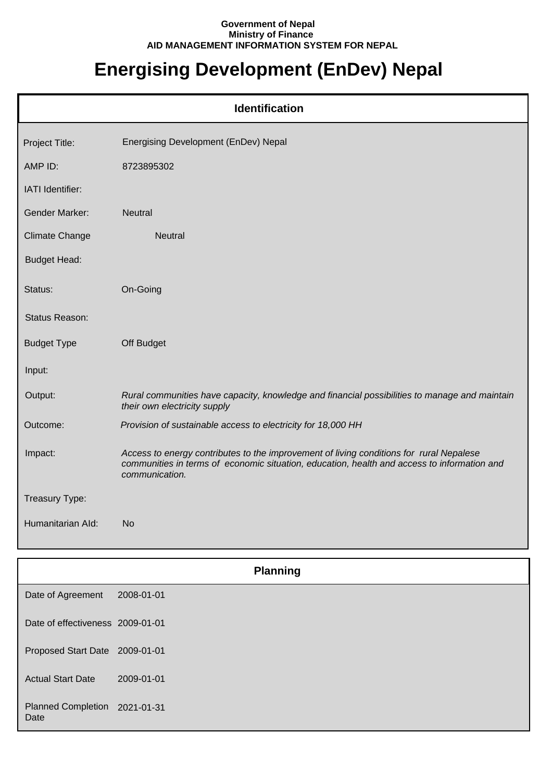## **Government of Nepal Ministry of Finance AID MANAGEMENT INFORMATION SYSTEM FOR NEPAL**

## **Energising Development (EnDev) Nepal**

| <b>Identification</b> |                                                                                                                                                                                                          |  |  |
|-----------------------|----------------------------------------------------------------------------------------------------------------------------------------------------------------------------------------------------------|--|--|
| Project Title:        | Energising Development (EnDev) Nepal                                                                                                                                                                     |  |  |
| AMP ID:               | 8723895302                                                                                                                                                                                               |  |  |
| IATI Identifier:      |                                                                                                                                                                                                          |  |  |
| <b>Gender Marker:</b> | <b>Neutral</b>                                                                                                                                                                                           |  |  |
| <b>Climate Change</b> | <b>Neutral</b>                                                                                                                                                                                           |  |  |
| <b>Budget Head:</b>   |                                                                                                                                                                                                          |  |  |
| Status:               | On-Going                                                                                                                                                                                                 |  |  |
| Status Reason:        |                                                                                                                                                                                                          |  |  |
| <b>Budget Type</b>    | Off Budget                                                                                                                                                                                               |  |  |
| Input:                |                                                                                                                                                                                                          |  |  |
| Output:               | Rural communities have capacity, knowledge and financial possibilities to manage and maintain<br>their own electricity supply                                                                            |  |  |
| Outcome:              | Provision of sustainable access to electricity for 18,000 HH                                                                                                                                             |  |  |
| Impact:               | Access to energy contributes to the improvement of living conditions for rural Nepalese<br>communities in terms of economic situation, education, health and access to information and<br>communication. |  |  |
| Treasury Type:        |                                                                                                                                                                                                          |  |  |
| Humanitarian Ald:     | <b>No</b>                                                                                                                                                                                                |  |  |

| <b>Planning</b>                       |            |  |  |
|---------------------------------------|------------|--|--|
| Date of Agreement                     | 2008-01-01 |  |  |
| Date of effectiveness 2009-01-01      |            |  |  |
| Proposed Start Date 2009-01-01        |            |  |  |
| <b>Actual Start Date</b>              | 2009-01-01 |  |  |
| Planned Completion 2021-01-31<br>Date |            |  |  |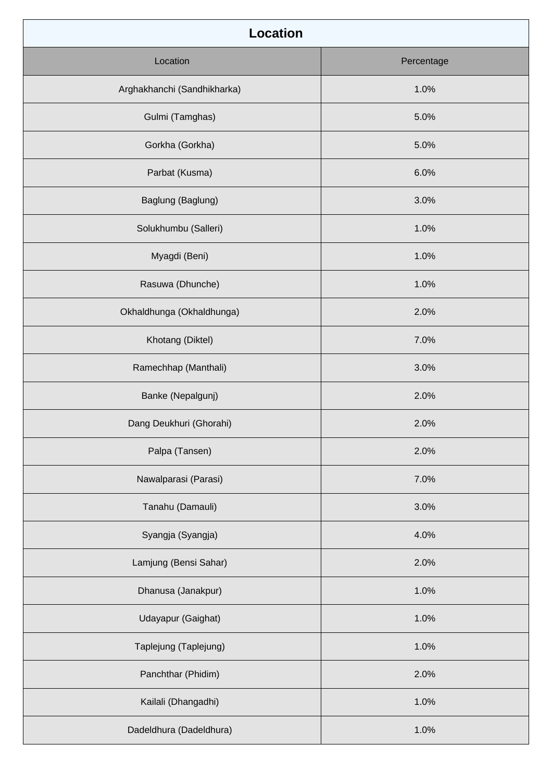| <b>Location</b>             |            |  |  |  |
|-----------------------------|------------|--|--|--|
| Location                    | Percentage |  |  |  |
| Arghakhanchi (Sandhikharka) | 1.0%       |  |  |  |
| Gulmi (Tamghas)             | 5.0%       |  |  |  |
| Gorkha (Gorkha)             | 5.0%       |  |  |  |
| Parbat (Kusma)              | 6.0%       |  |  |  |
| Baglung (Baglung)           | 3.0%       |  |  |  |
| Solukhumbu (Salleri)        | 1.0%       |  |  |  |
| Myagdi (Beni)               | 1.0%       |  |  |  |
| Rasuwa (Dhunche)            | 1.0%       |  |  |  |
| Okhaldhunga (Okhaldhunga)   | 2.0%       |  |  |  |
| Khotang (Diktel)            | 7.0%       |  |  |  |
| Ramechhap (Manthali)        | 3.0%       |  |  |  |
| Banke (Nepalgunj)           | 2.0%       |  |  |  |
| Dang Deukhuri (Ghorahi)     | 2.0%       |  |  |  |
| Palpa (Tansen)              | 2.0%       |  |  |  |
| Nawalparasi (Parasi)        | 7.0%       |  |  |  |
| Tanahu (Damauli)            | 3.0%       |  |  |  |
| Syangja (Syangja)           | 4.0%       |  |  |  |
| Lamjung (Bensi Sahar)       | 2.0%       |  |  |  |
| Dhanusa (Janakpur)          | 1.0%       |  |  |  |
| Udayapur (Gaighat)          | 1.0%       |  |  |  |
| Taplejung (Taplejung)       | 1.0%       |  |  |  |
| Panchthar (Phidim)          | 2.0%       |  |  |  |
| Kailali (Dhangadhi)         | 1.0%       |  |  |  |
| Dadeldhura (Dadeldhura)     | 1.0%       |  |  |  |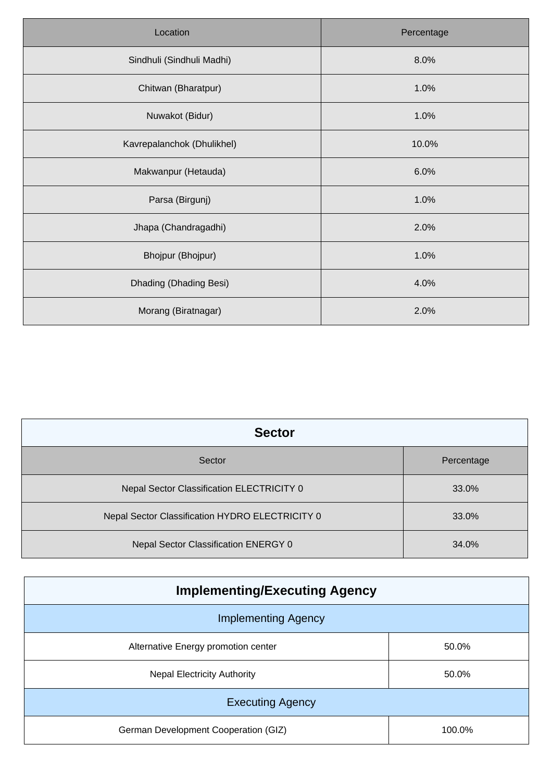| Location                   | Percentage |
|----------------------------|------------|
| Sindhuli (Sindhuli Madhi)  | 8.0%       |
| Chitwan (Bharatpur)        | 1.0%       |
| Nuwakot (Bidur)            | 1.0%       |
| Kavrepalanchok (Dhulikhel) | 10.0%      |
| Makwanpur (Hetauda)        | 6.0%       |
| Parsa (Birgunj)            | 1.0%       |
| Jhapa (Chandragadhi)       | 2.0%       |
| Bhojpur (Bhojpur)          | 1.0%       |
| Dhading (Dhading Besi)     | 4.0%       |
| Morang (Biratnagar)        | 2.0%       |

| <b>Sector</b>                                   |            |  |  |  |
|-------------------------------------------------|------------|--|--|--|
| Sector                                          | Percentage |  |  |  |
| Nepal Sector Classification ELECTRICITY 0       | 33.0%      |  |  |  |
| Nepal Sector Classification HYDRO ELECTRICITY 0 | 33.0%      |  |  |  |
| Nepal Sector Classification ENERGY 0            | 34.0%      |  |  |  |

| <b>Implementing/Executing Agency</b> |        |  |  |  |
|--------------------------------------|--------|--|--|--|
| <b>Implementing Agency</b>           |        |  |  |  |
| Alternative Energy promotion center  | 50.0%  |  |  |  |
| <b>Nepal Electricity Authority</b>   | 50.0%  |  |  |  |
| <b>Executing Agency</b>              |        |  |  |  |
| German Development Cooperation (GIZ) | 100.0% |  |  |  |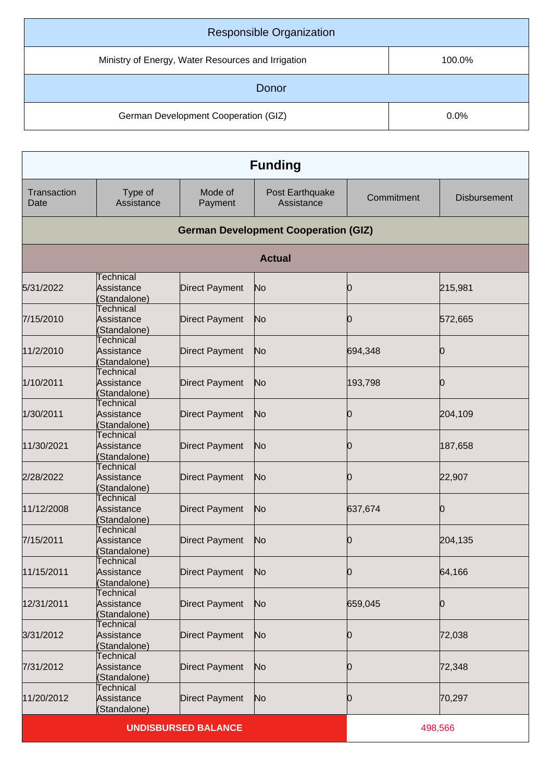| <b>Responsible Organization</b>                    |        |  |  |
|----------------------------------------------------|--------|--|--|
| Ministry of Energy, Water Resources and Irrigation | 100.0% |  |  |
| Donor                                              |        |  |  |
| German Development Cooperation (GIZ)               | 0.0%   |  |  |

| <b>Funding</b>             |                                                |                       |                                             |            |                     |
|----------------------------|------------------------------------------------|-----------------------|---------------------------------------------|------------|---------------------|
| Transaction<br>Date        | Type of<br>Assistance                          | Mode of<br>Payment    | Post Earthquake<br>Assistance               | Commitment | <b>Disbursement</b> |
|                            |                                                |                       | <b>German Development Cooperation (GIZ)</b> |            |                     |
|                            |                                                |                       | <b>Actual</b>                               |            |                     |
| 5/31/2022                  | Technical<br>Assistance<br>(Standalone)        | <b>Direct Payment</b> | No                                          | 10         | 215,981             |
| 7/15/2010                  | Technical<br>Assistance<br>(Standalone)        | <b>Direct Payment</b> | No                                          | Ю          | 572,665             |
| 11/2/2010                  | <b>Technical</b><br>Assistance<br>(Standalone) | <b>Direct Payment</b> | No                                          | 694,348    | Ю                   |
| 1/10/2011                  | <b>Technical</b><br>Assistance<br>(Standalone) | <b>Direct Payment</b> | No                                          | 193,798    |                     |
| 1/30/2011                  | Technical<br>Assistance<br>(Standalone)        | <b>Direct Payment</b> | No                                          | 10         | 204,109             |
| 11/30/2021                 | Technical<br>Assistance<br>(Standalone)        | <b>Direct Payment</b> | No                                          | Ю          | 187,658             |
| 2/28/2022                  | Technical<br>Assistance<br>(Standalone)        | <b>Direct Payment</b> | No                                          | 10         | 22,907              |
| 11/12/2008                 | <b>Technical</b><br>Assistance<br>(Standalone) | <b>Direct Payment</b> | No                                          | 637,674    | Ю                   |
| 7/15/2011                  | <b>Technical</b><br>Assistance<br>(Standalone) | <b>Direct Payment</b> | No                                          | Ю          | 204,135             |
| 11/15/2011                 | Technical<br>Assistance<br>(Standalone)        | <b>Direct Payment</b> | No                                          | 0          | 64,166              |
| 12/31/2011                 | <b>Technical</b><br>Assistance<br>Standalone)  | <b>Direct Payment</b> | No                                          | 659,045    | Ю                   |
| 3/31/2012                  | Technical<br>Assistance<br>(Standalone)        | <b>Direct Payment</b> | No                                          | 0          | 72,038              |
| 7/31/2012                  | Technical<br>Assistance<br>(Standalone)        | <b>Direct Payment</b> | No                                          | Ю          | 72,348              |
| 11/20/2012                 | <b>Technical</b><br>Assistance<br>(Standalone) | <b>Direct Payment</b> | No                                          | 10         | 70,297              |
| <b>UNDISBURSED BALANCE</b> |                                                |                       |                                             | 498,566    |                     |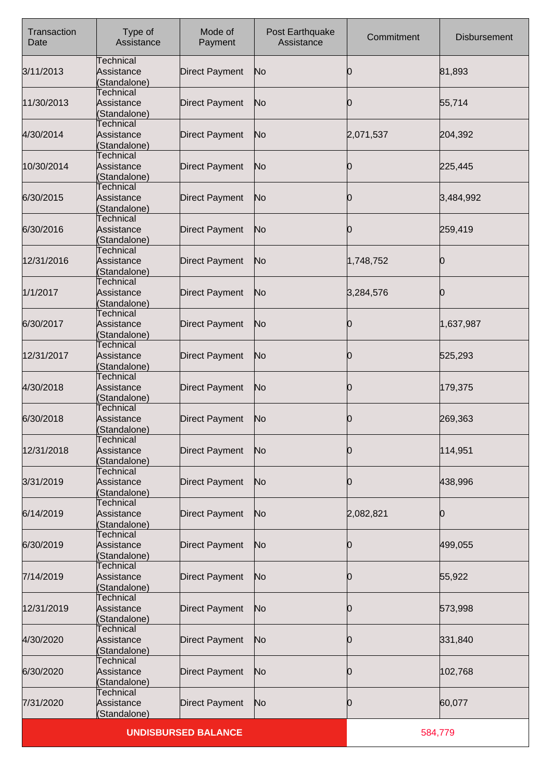| Transaction<br>Date | Type of<br>Assistance                          | Mode of<br>Payment    | Post Earthquake<br>Assistance | Commitment | <b>Disbursement</b> |
|---------------------|------------------------------------------------|-----------------------|-------------------------------|------------|---------------------|
| 3/11/2013           | Technical<br>Assistance<br>(Standalone)        | <b>Direct Payment</b> | No                            | Ю          | 81,893              |
| 11/30/2013          | Technical<br>Assistance<br>(Standalone)        | <b>Direct Payment</b> | No                            | Ю          | 55,714              |
| 4/30/2014           | <b>Technical</b><br>Assistance<br>(Standalone) | <b>Direct Payment</b> | No                            | 2,071,537  | 204,392             |
| 10/30/2014          | Technical<br>Assistance<br>(Standalone)        | <b>Direct Payment</b> | No                            | 0          | 225,445             |
| 6/30/2015           | Technical<br>Assistance<br>(Standalone)        | <b>Direct Payment</b> | No                            | 10         | 3,484,992           |
| 6/30/2016           | <b>Technical</b><br>Assistance<br>(Standalone) | <b>Direct Payment</b> | No                            | 10         | 259,419             |
| 12/31/2016          | Technical<br>Assistance<br>(Standalone)        | <b>Direct Payment</b> | No                            | 1,748,752  | Ю                   |
| 1/1/2017            | Technical<br>Assistance<br>(Standalone)        | <b>Direct Payment</b> | No                            | 3,284,576  | n                   |
| 6/30/2017           | Technical<br>Assistance<br>(Standalone)        | <b>Direct Payment</b> | No                            | Ю          | 1,637,987           |
| 12/31/2017          | Technical<br>Assistance<br>(Standalone)        | <b>Direct Payment</b> | No                            | 0          | 525,293             |
| 4/30/2018           | Technical<br>Assistance<br>(Standalone)        | <b>Direct Payment</b> | No                            | Ю          | 179,375             |
| 6/30/2018           | <b>Technical</b><br>Assistance<br>(Standalone) | <b>Direct Payment</b> | No                            | Ю          | 269,363             |
| 12/31/2018          | <b>Technical</b><br>Assistance<br>(Standalone) | <b>Direct Payment</b> | No                            | 0          | 114,951             |
| 3/31/2019           | Technical<br>Assistance<br>(Standalone)        | <b>Direct Payment</b> | No                            | 0          | 438,996             |
| 6/14/2019           | <b>Technical</b><br>Assistance<br>(Standalone) | <b>Direct Payment</b> | No                            | 2,082,821  | 0                   |
| 6/30/2019           | Technical<br>Assistance<br>(Standalone)        | <b>Direct Payment</b> | No                            | 0          | 499,055             |
| 7/14/2019           | Technical<br>Assistance<br>(Standalone)        | <b>Direct Payment</b> | No                            | Ю          | 55,922              |
| 12/31/2019          | <b>Technical</b><br>Assistance<br>(Standalone) | <b>Direct Payment</b> | No                            | Ю          | 573,998             |
| 4/30/2020           | Technical<br>Assistance<br>(Standalone)        | <b>Direct Payment</b> | No                            | 0          | 331,840             |
| 6/30/2020           | Technical<br>Assistance<br>(Standalone)        | <b>Direct Payment</b> | No                            | Ю          | 102,768             |
| 7/31/2020           | <b>Technical</b><br>Assistance<br>(Standalone) | <b>Direct Payment</b> | No                            | 10         | 60,077              |
|                     | <b>UNDISBURSED BALANCE</b>                     |                       |                               |            | 584,779             |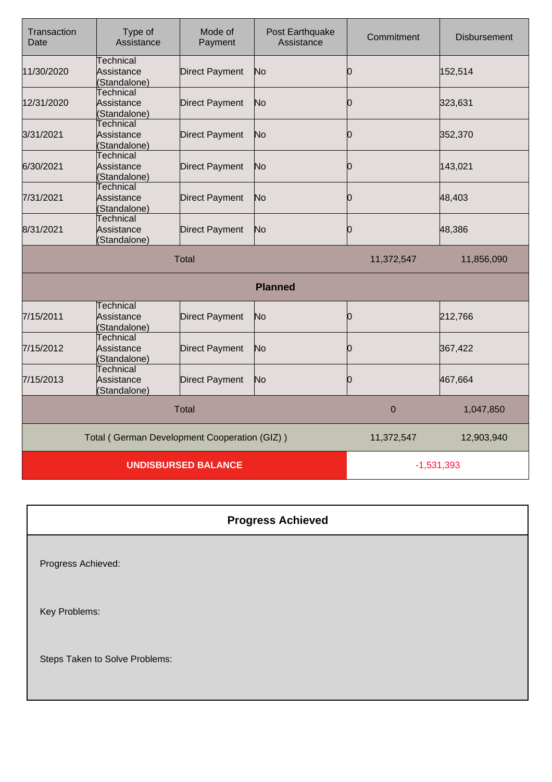| Transaction<br>Date                          | Type of<br>Assistance                          | Mode of<br>Payment    | Post Earthquake<br>Assistance | Commitment       | <b>Disbursement</b> |
|----------------------------------------------|------------------------------------------------|-----------------------|-------------------------------|------------------|---------------------|
| 11/30/2020                                   | Technical<br>Assistance<br>(Standalone)        | <b>Direct Payment</b> | No                            | Ю                | 152,514             |
| 12/31/2020                                   | <b>Technical</b><br>Assistance<br>(Standalone) | <b>Direct Payment</b> | No                            | 0                | 323,631             |
| 3/31/2021                                    | <b>Technical</b><br>Assistance<br>(Standalone) | <b>Direct Payment</b> | No                            | Ю                | 352,370             |
| 6/30/2021                                    | Technical<br>Assistance<br>(Standalone)        | <b>Direct Payment</b> | No                            | 0                | 143,021             |
| 7/31/2021                                    | <b>Technical</b><br>Assistance<br>(Standalone) | <b>Direct Payment</b> | No                            | Ю                | 48,403              |
| 8/31/2021                                    | <b>Technical</b><br>Assistance<br>(Standalone) | <b>Direct Payment</b> | No                            | Ю                | 48,386              |
| <b>Total</b>                                 |                                                |                       |                               | 11,372,547       | 11,856,090          |
|                                              |                                                |                       | <b>Planned</b>                |                  |                     |
| 7/15/2011                                    | Technical<br>Assistance<br>(Standalone)        | <b>Direct Payment</b> | No                            | Ю                | 212,766             |
| 7/15/2012                                    | <b>Technical</b><br>Assistance<br>Standalone)  | <b>Direct Payment</b> | No                            | Ю                | 367,422             |
| 7/15/2013                                    | <b>Technical</b><br>Assistance<br>(Standalone) | <b>Direct Payment</b> | No                            | 0                | 467,664             |
|                                              |                                                | <b>Total</b>          |                               | $\boldsymbol{0}$ | 1,047,850           |
| Total (German Development Cooperation (GIZ)) |                                                |                       | 11,372,547                    | 12,903,940       |                     |
|                                              | <b>UNDISBURSED BALANCE</b>                     |                       |                               | $-1,531,393$     |                     |

## **Progress Achieved**

Progress Achieved:

Key Problems:

Steps Taken to Solve Problems: